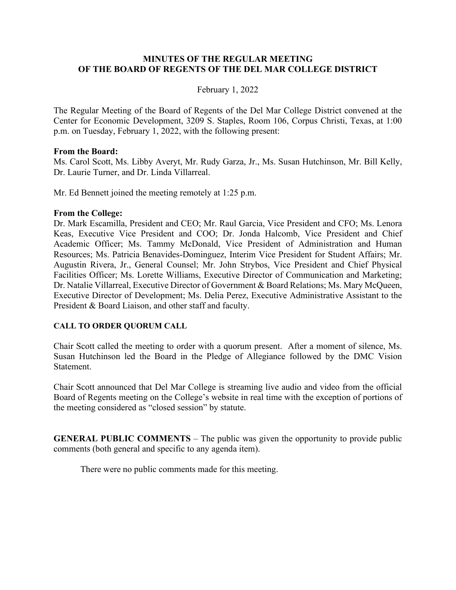### **MINUTES OF THE REGULAR MEETING OF THE BOARD OF REGENTS OF THE DEL MAR COLLEGE DISTRICT**

### February 1, 2022

The Regular Meeting of the Board of Regents of the Del Mar College District convened at the Center for Economic Development, 3209 S. Staples, Room 106, Corpus Christi, Texas, at 1:00 p.m. on Tuesday, February 1, 2022, with the following present:

### **From the Board:**

Ms. Carol Scott, Ms. Libby Averyt, Mr. Rudy Garza, Jr., Ms. Susan Hutchinson, Mr. Bill Kelly, Dr. Laurie Turner, and Dr. Linda Villarreal.

Mr. Ed Bennett joined the meeting remotely at 1:25 p.m.

#### **From the College:**

Dr. Mark Escamilla, President and CEO; Mr. Raul Garcia, Vice President and CFO; Ms. Lenora Keas, Executive Vice President and COO; Dr. Jonda Halcomb, Vice President and Chief Academic Officer; Ms. Tammy McDonald, Vice President of Administration and Human Resources; Ms. Patricia Benavides-Dominguez, Interim Vice President for Student Affairs; Mr. Augustin Rivera, Jr., General Counsel; Mr. John Strybos, Vice President and Chief Physical Facilities Officer; Ms. Lorette Williams, Executive Director of Communication and Marketing; Dr. Natalie Villarreal, Executive Director of Government & Board Relations; Ms. Mary McQueen, Executive Director of Development; Ms. Delia Perez, Executive Administrative Assistant to the President & Board Liaison, and other staff and faculty.

### **CALL TO ORDER QUORUM CALL**

Chair Scott called the meeting to order with a quorum present. After a moment of silence, Ms. Susan Hutchinson led the Board in the Pledge of Allegiance followed by the DMC Vision Statement.

Chair Scott announced that Del Mar College is streaming live audio and video from the official Board of Regents meeting on the College's website in real time with the exception of portions of the meeting considered as "closed session" by statute.

**GENERAL PUBLIC COMMENTS** – The public was given the opportunity to provide public comments (both general and specific to any agenda item).

There were no public comments made for this meeting.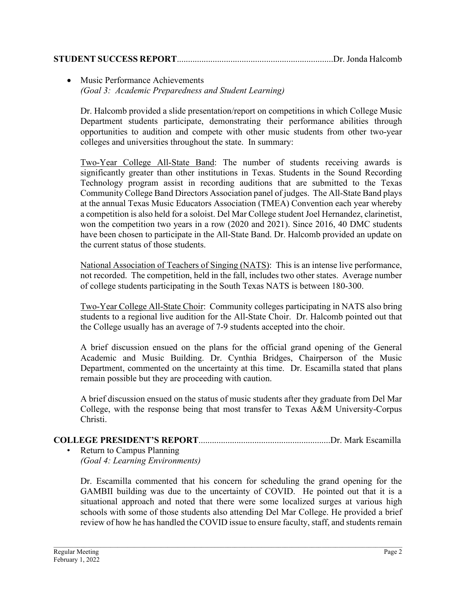## **STUDENT SUCCESS REPORT**......................................................................Dr. Jonda Halcomb

## • Music Performance Achievements *(Goal 3: Academic Preparedness and Student Learning)*

Dr. Halcomb provided a slide presentation/report on competitions in which College Music Department students participate, demonstrating their performance abilities through opportunities to audition and compete with other music students from other two-year colleges and universities throughout the state. In summary:

Two-Year College All-State Band: The number of students receiving awards is significantly greater than other institutions in Texas. Students in the Sound Recording Technology program assist in recording auditions that are submitted to the Texas Community College Band Directors Association panel of judges. The All-State Band plays at the annual Texas Music Educators Association (TMEA) Convention each year whereby a competition is also held for a soloist. Del Mar College student Joel Hernandez, clarinetist, won the competition two years in a row (2020 and 2021). Since 2016, 40 DMC students have been chosen to participate in the All-State Band. Dr. Halcomb provided an update on the current status of those students.

National Association of Teachers of Singing (NATS): This is an intense live performance, not recorded. The competition, held in the fall, includes two other states. Average number of college students participating in the South Texas NATS is between 180-300.

Two-Year College All-State Choir: Community colleges participating in NATS also bring students to a regional live audition for the All-State Choir. Dr. Halcomb pointed out that the College usually has an average of 7-9 students accepted into the choir.

A brief discussion ensued on the plans for the official grand opening of the General Academic and Music Building. Dr. Cynthia Bridges, Chairperson of the Music Department, commented on the uncertainty at this time. Dr. Escamilla stated that plans remain possible but they are proceeding with caution.

A brief discussion ensued on the status of music students after they graduate from Del Mar College, with the response being that most transfer to Texas A&M University-Corpus Christi.

# **COLLEGE PRESIDENT'S REPORT**...........................................................Dr. Mark Escamilla

• Return to Campus Planning *(Goal 4: Learning Environments)*

Dr. Escamilla commented that his concern for scheduling the grand opening for the GAMBII building was due to the uncertainty of COVID. He pointed out that it is a situational approach and noted that there were some localized surges at various high schools with some of those students also attending Del Mar College. He provided a brief review of how he has handled the COVID issue to ensure faculty, staff, and students remain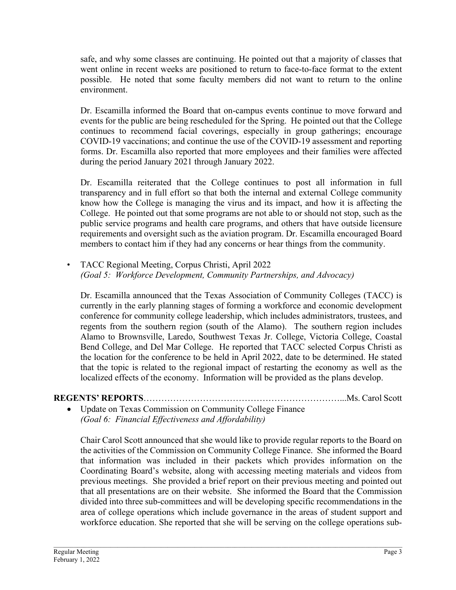safe, and why some classes are continuing. He pointed out that a majority of classes that went online in recent weeks are positioned to return to face-to-face format to the extent possible. He noted that some faculty members did not want to return to the online environment.

Dr. Escamilla informed the Board that on-campus events continue to move forward and events for the public are being rescheduled for the Spring. He pointed out that the College continues to recommend facial coverings, especially in group gatherings; encourage COVID-19 vaccinations; and continue the use of the COVID-19 assessment and reporting forms. Dr. Escamilla also reported that more employees and their families were affected during the period January 2021 through January 2022.

Dr. Escamilla reiterated that the College continues to post all information in full transparency and in full effort so that both the internal and external College community know how the College is managing the virus and its impact, and how it is affecting the College. He pointed out that some programs are not able to or should not stop, such as the public service programs and health care programs, and others that have outside licensure requirements and oversight such as the aviation program. Dr. Escamilla encouraged Board members to contact him if they had any concerns or hear things from the community.

• TACC Regional Meeting, Corpus Christi, April 2022 *(Goal 5: Workforce Development, Community Partnerships, and Advocacy)*

Dr. Escamilla announced that the Texas Association of Community Colleges (TACC) is currently in the early planning stages of forming a workforce and economic development conference for community college leadership, which includes administrators, trustees, and regents from the southern region (south of the Alamo). The southern region includes Alamo to Brownsville, Laredo, Southwest Texas Jr. College, Victoria College, Coastal Bend College, and Del Mar College. He reported that TACC selected Corpus Christi as the location for the conference to be held in April 2022, date to be determined. He stated that the topic is related to the regional impact of restarting the economy as well as the localized effects of the economy. Information will be provided as the plans develop.

# **REGENTS' REPORTS**…………………………………………………………...Ms. Carol Scott

Update on Texas Commission on Community College Finance *(Goal 6: Financial Effectiveness and Affordability)*

Chair Carol Scott announced that she would like to provide regular reports to the Board on the activities of the Commission on Community College Finance. She informed the Board that information was included in their packets which provides information on the Coordinating Board's website, along with accessing meeting materials and videos from previous meetings. She provided a brief report on their previous meeting and pointed out that all presentations are on their website. She informed the Board that the Commission divided into three sub-committees and will be developing specific recommendations in the area of college operations which include governance in the areas of student support and workforce education. She reported that she will be serving on the college operations sub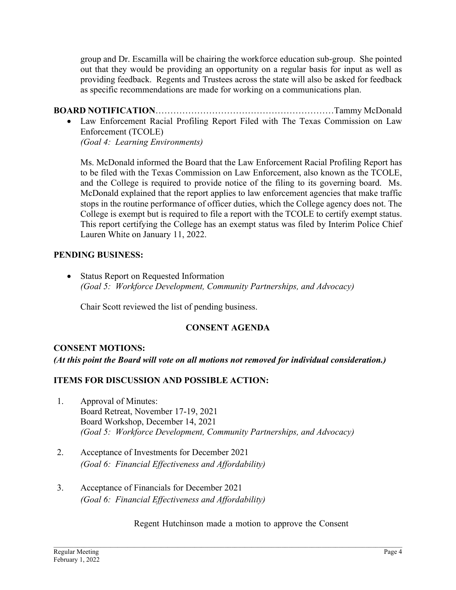group and Dr. Escamilla will be chairing the workforce education sub-group. She pointed out that they would be providing an opportunity on a regular basis for input as well as providing feedback. Regents and Trustees across the state will also be asked for feedback as specific recommendations are made for working on a communications plan.

**BOARD NOTIFICATION**……………………………………………………Tammy McDonald • Law Enforcement Racial Profiling Report Filed with The Texas Commission on Law Enforcement (TCOLE)

*(Goal 4: Learning Environments)*

Ms. McDonald informed the Board that the Law Enforcement Racial Profiling Report has to be filed with the Texas Commission on Law Enforcement, also known as the TCOLE, and the College is required to provide notice of the filing to its governing board. Ms. McDonald explained that the report applies to law enforcement agencies that make traffic stops in the routine performance of officer duties, which the College agency does not. The College is exempt but is required to file a report with the TCOLE to certify exempt status. This report certifying the College has an exempt status was filed by Interim Police Chief Lauren White on January 11, 2022.

## **PENDING BUSINESS:**

• Status Report on Requested Information *(Goal 5: Workforce Development, Community Partnerships, and Advocacy)*

Chair Scott reviewed the list of pending business.

# **CONSENT AGENDA**

## **CONSENT MOTIONS:**

*(At this point the Board will vote on all motions not removed for individual consideration.)* 

## **ITEMS FOR DISCUSSION AND POSSIBLE ACTION:**

- 1. Approval of Minutes: Board Retreat, November 17-19, 2021 Board Workshop, December 14, 2021 *(Goal 5: Workforce Development, Community Partnerships, and Advocacy)*
- 2. Acceptance of Investments for December 2021 *(Goal 6: Financial Effectiveness and Affordability)*
- 3. Acceptance of Financials for December 2021 *(Goal 6: Financial Effectiveness and Affordability)*

Regent Hutchinson made a motion to approve the Consent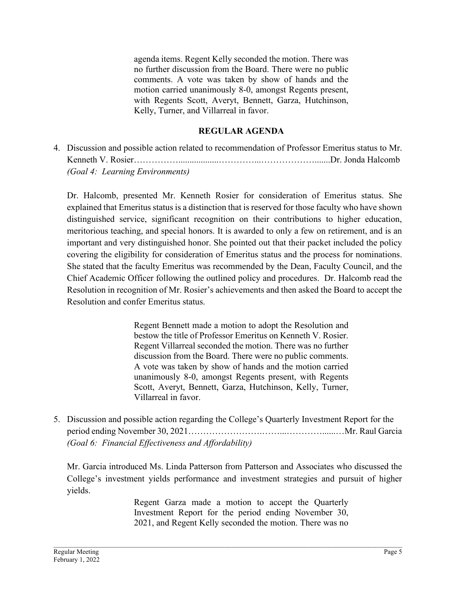agenda items. Regent Kelly seconded the motion. There was no further discussion from the Board. There were no public comments. A vote was taken by show of hands and the motion carried unanimously 8-0, amongst Regents present, with Regents Scott, Averyt, Bennett, Garza, Hutchinson, Kelly, Turner, and Villarreal in favor.

## **REGULAR AGENDA**

4. Discussion and possible action related to recommendation of Professor Emeritus status to Mr. Kenneth V. Rosier……………..................…………...……………….......Dr. Jonda Halcomb *(Goal 4: Learning Environments)*

Dr. Halcomb, presented Mr. Kenneth Rosier for consideration of Emeritus status. She explained that Emeritus status is a distinction that is reserved for those faculty who have shown distinguished service, significant recognition on their contributions to higher education, meritorious teaching, and special honors. It is awarded to only a few on retirement, and is an important and very distinguished honor. She pointed out that their packet included the policy covering the eligibility for consideration of Emeritus status and the process for nominations. She stated that the faculty Emeritus was recommended by the Dean, Faculty Council, and the Chief Academic Officer following the outlined policy and procedures. Dr. Halcomb read the Resolution in recognition of Mr. Rosier's achievements and then asked the Board to accept the Resolution and confer Emeritus status.

> Regent Bennett made a motion to adopt the Resolution and bestow the title of Professor Emeritus on Kenneth V. Rosier. Regent Villarreal seconded the motion. There was no further discussion from the Board. There were no public comments. A vote was taken by show of hands and the motion carried unanimously 8-0, amongst Regents present, with Regents Scott, Averyt, Bennett, Garza, Hutchinson, Kelly, Turner, Villarreal in favor.

5. Discussion and possible action regarding the College's Quarterly Investment Report for the period ending November 30, 2021…………………….……...…………......…Mr. Raul Garcia *(Goal 6: Financial Effectiveness and Affordability)*

Mr. Garcia introduced Ms. Linda Patterson from Patterson and Associates who discussed the College's investment yields performance and investment strategies and pursuit of higher yields.

> Regent Garza made a motion to accept the Quarterly Investment Report for the period ending November 30, 2021, and Regent Kelly seconded the motion. There was no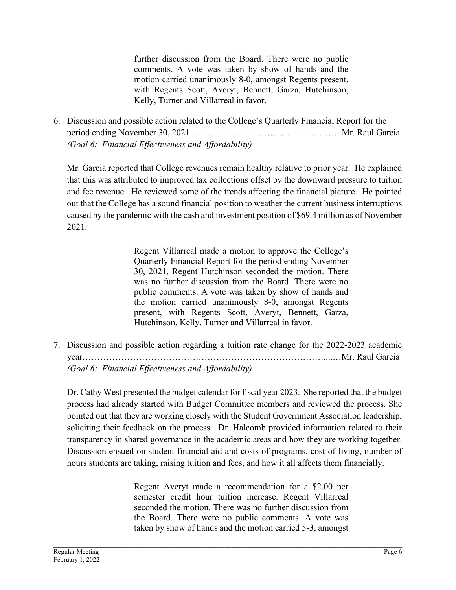further discussion from the Board. There were no public comments. A vote was taken by show of hands and the motion carried unanimously 8-0, amongst Regents present, with Regents Scott, Averyt, Bennett, Garza, Hutchinson, Kelly, Turner and Villarreal in favor.

6. Discussion and possible action related to the College's Quarterly Financial Report for the period ending November 30, 2021………………………......………………. Mr. Raul Garcia *(Goal 6: Financial Effectiveness and Affordability)*

Mr. Garcia reported that College revenues remain healthy relative to prior year. He explained that this was attributed to improved tax collections offset by the downward pressure to tuition and fee revenue. He reviewed some of the trends affecting the financial picture. He pointed out that the College has a sound financial position to weather the current business interruptions caused by the pandemic with the cash and investment position of \$69.4 million as of November 2021.

> Regent Villarreal made a motion to approve the College's Quarterly Financial Report for the period ending November 30, 2021. Regent Hutchinson seconded the motion. There was no further discussion from the Board. There were no public comments. A vote was taken by show of hands and the motion carried unanimously 8-0, amongst Regents present, with Regents Scott, Averyt, Bennett, Garza, Hutchinson, Kelly, Turner and Villarreal in favor.

7. Discussion and possible action regarding a tuition rate change for the 2022-2023 academic year………………………………………………………………………....…Mr. Raul Garcia *(Goal 6: Financial Effectiveness and Affordability)*

Dr. Cathy West presented the budget calendar for fiscal year 2023. She reported that the budget process had already started with Budget Committee members and reviewed the process. She pointed out that they are working closely with the Student Government Association leadership, soliciting their feedback on the process. Dr. Halcomb provided information related to their transparency in shared governance in the academic areas and how they are working together. Discussion ensued on student financial aid and costs of programs, cost-of-living, number of hours students are taking, raising tuition and fees, and how it all affects them financially.

> Regent Averyt made a recommendation for a \$2.00 per semester credit hour tuition increase. Regent Villarreal seconded the motion. There was no further discussion from the Board. There were no public comments. A vote was taken by show of hands and the motion carried 5-3, amongst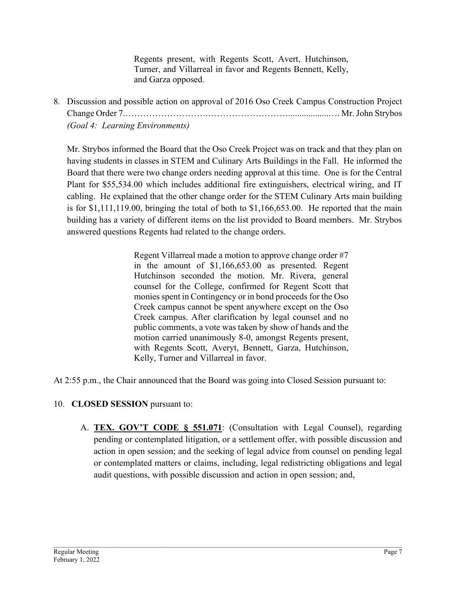Regents present, with Regents Scott, Avert, Hutchinson, Turner, and Villarreal in favor and Regents Bennett, Kelly, and Garza opposed.

8. Discussion and possible action on approval of 2016 Oso Creek Campus Construction Project Change Order 7.……………………….………………………..................…. Mr.John Strybos *(Goal 4: Learning Environments)*

Mr. Strybos informed the Board that the Oso Creek Project was on track and that they plan on having students in classes in STEM and Culinary Arts Buildings in the Fall. He informed the Board that there were two change orders needing approval at this time. One is for the Central Plant for \$55,534.00 which includes additional fire extinguishers, electrical wiring, and IT cabling. He explained that the other change order for the STEM Culinary Arts main building is for \$1,111,119.00, bringing the total of both to \$1,166,653.00. He reported that the main building has a variety of different items on the list provided to Board members. Mr. Strybos answered questions Regents had related to the change orders.

> Regent Villarreal made a motion to approve change order #7 in the amount of \$1,166,653.00 as presented. Regent Hutchinson seconded the motion. Mr. Rivera, general counsel for the College, confirmed for Regent Scott that monies spent in Contingency or in bond proceeds for the Oso Creek campus cannot be spent anywhere except on the Oso Creek campus. After clarification by legal counsel and no public comments, a vote was taken by show of hands and the motion carried unanimously 8-0, amongst Regents present, with Regents Scott, Averyt, Bennett, Garza, Hutchinson, Kelly, Turner and Villarreal in favor.

At 2:55 p.m., the Chair announced that the Board was going into Closed Session pursuant to:

- 10. **CLOSED SESSION** pursuant to:
	- A. **TEX. GOV'T CODE § 551.071**: (Consultation with Legal Counsel), regarding pending or contemplated litigation, or a settlement offer, with possible discussion and action in open session; and the seeking of legal advice from counsel on pending legal or contemplated matters or claims, including, legal redistricting obligations and legal audit questions, with possible discussion and action in open session; and,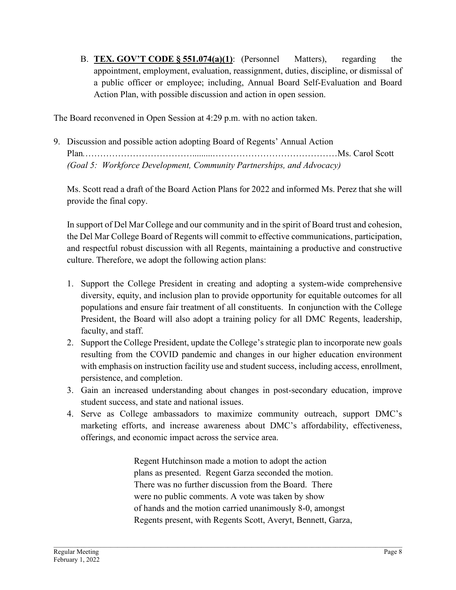B. **TEX. GOV'T CODE § 551.074(a)(1)**: (Personnel Matters), regarding the appointment, employment, evaluation, reassignment, duties, discipline, or dismissal of a public officer or employee; including, Annual Board Self-Evaluation and Board Action Plan, with possible discussion and action in open session.

The Board reconvened in Open Session at 4:29 p.m. with no action taken.

9. Discussion and possible action adopting Board of Regents' Annual Action Plan*.*……………………………….........……………………………………Ms. Carol Scott *(Goal 5: Workforce Development, Community Partnerships, and Advocacy)*

Ms. Scott read a draft of the Board Action Plans for 2022 and informed Ms. Perez that she will provide the final copy.

In support of Del Mar College and our community and in the spirit of Board trust and cohesion, the Del Mar College Board of Regents will commit to effective communications, participation, and respectful robust discussion with all Regents, maintaining a productive and constructive culture. Therefore, we adopt the following action plans:

- 1. Support the College President in creating and adopting a system-wide comprehensive diversity, equity, and inclusion plan to provide opportunity for equitable outcomes for all populations and ensure fair treatment of all constituents. In conjunction with the College President, the Board will also adopt a training policy for all DMC Regents, leadership, faculty, and staff.
- 2. Support the College President, update the College's strategic plan to incorporate new goals resulting from the COVID pandemic and changes in our higher education environment with emphasis on instruction facility use and student success, including access, enrollment, persistence, and completion.
- 3. Gain an increased understanding about changes in post-secondary education, improve student success, and state and national issues.
- 4. Serve as College ambassadors to maximize community outreach, support DMC's marketing efforts, and increase awareness about DMC's affordability, effectiveness, offerings, and economic impact across the service area.

Regent Hutchinson made a motion to adopt the action plans as presented. Regent Garza seconded the motion. There was no further discussion from the Board. There were no public comments. A vote was taken by show of hands and the motion carried unanimously 8-0, amongst Regents present, with Regents Scott, Averyt, Bennett, Garza,